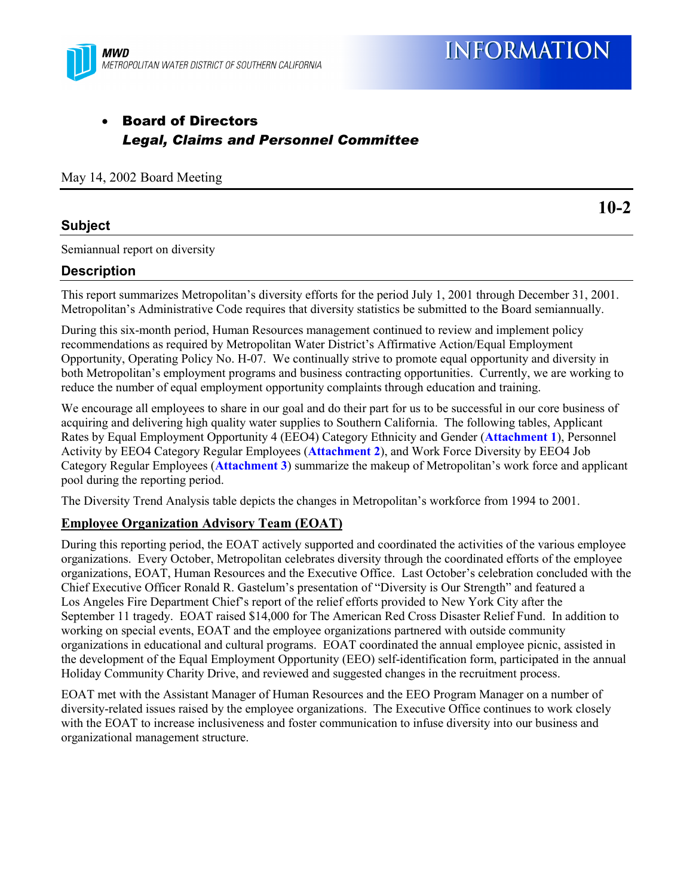

# • Board of Directors *Legal, Claims and Personnel Committee*

May 14, 2002 Board Meeting

#### **Subject**

Semiannual report on diversity

### **Description**

This report summarizes Metropolitan's diversity efforts for the period July 1, 2001 through December 31, 2001. Metropolitan's Administrative Code requires that diversity statistics be submitted to the Board semiannually.

During this six-month period, Human Resources management continued to review and implement policy recommendations as required by Metropolitan Water District's Affirmative Action/Equal Employment Opportunity, Operating Policy No. H-07. We continually strive to promote equal opportunity and diversity in both Metropolitan's employment programs and business contracting opportunities. Currently, we are working to reduce the number of equal employment opportunity complaints through education and training.

We encourage all employees to share in our goal and do their part for us to be successful in our core business of acquiring and delivering high quality water supplies to Southern California. The following tables, Applicant Rates by Equal Employment Opportunity 4 (EEO4) Category Ethnicity and Gender (**Attachment 1**), Personnel Activity by EEO4 Category Regular Employees (**Attachment 2**), and Work Force Diversity by EEO4 Job Category Regular Employees (**Attachment 3**) summarize the makeup of Metropolitan's work force and applicant pool during the reporting period.

The Diversity Trend Analysis table depicts the changes in Metropolitan's workforce from 1994 to 2001.

#### **Employee Organization Advisory Team (EOAT)**

During this reporting period, the EOAT actively supported and coordinated the activities of the various employee organizations. Every October, Metropolitan celebrates diversity through the coordinated efforts of the employee organizations, EOAT, Human Resources and the Executive Office. Last October's celebration concluded with the Chief Executive Officer Ronald R. Gastelum's presentation of "Diversity is Our Strength" and featured a Los Angeles Fire Department Chief's report of the relief efforts provided to New York City after the September 11 tragedy. EOAT raised \$14,000 for The American Red Cross Disaster Relief Fund. In addition to working on special events, EOAT and the employee organizations partnered with outside community organizations in educational and cultural programs. EOAT coordinated the annual employee picnic, assisted in the development of the Equal Employment Opportunity (EEO) self-identification form, participated in the annual Holiday Community Charity Drive, and reviewed and suggested changes in the recruitment process.

EOAT met with the Assistant Manager of Human Resources and the EEO Program Manager on a number of diversity-related issues raised by the employee organizations. The Executive Office continues to work closely with the EOAT to increase inclusiveness and foster communication to infuse diversity into our business and organizational management structure.

**10-2**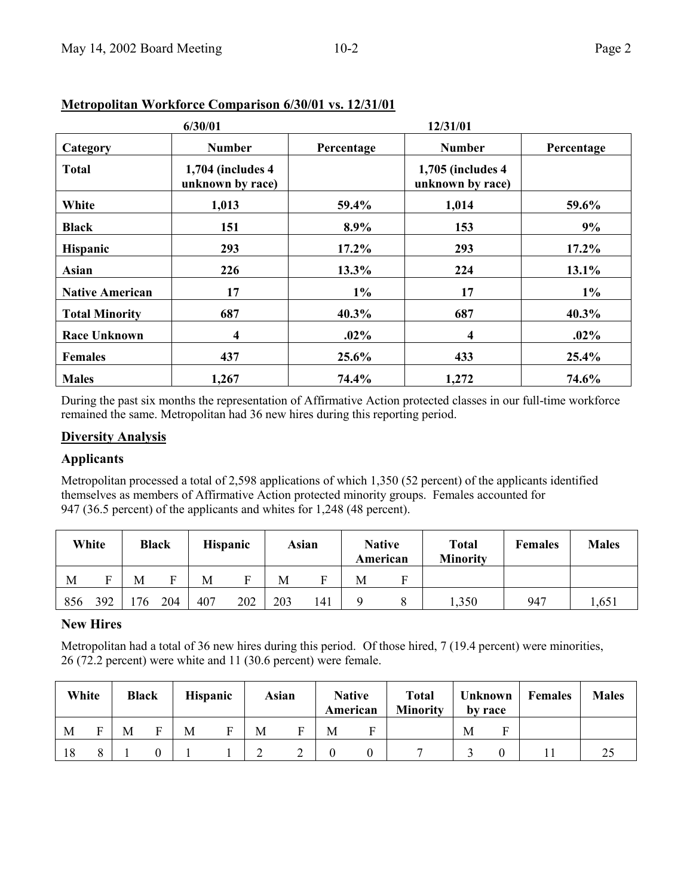|                        | 6/30/01                                   |            | 12/31/01                               |            |
|------------------------|-------------------------------------------|------------|----------------------------------------|------------|
| Category               | <b>Number</b>                             | Percentage | <b>Number</b>                          | Percentage |
| <b>Total</b>           | $1,704$ (includes $4$<br>unknown by race) |            | 1,705 (includes 4)<br>unknown by race) |            |
| White                  | 1,013                                     | 59.4%      | 1,014                                  | 59.6%      |
| <b>Black</b>           | 151                                       | 8.9%       | 153                                    | 9%         |
| Hispanic               | 293                                       | $17.2\%$   | 293                                    | $17.2\%$   |
| Asian                  | 226                                       | 13.3%      | 224                                    | 13.1%      |
| <b>Native American</b> | 17                                        | $1\%$      | 17                                     | $1\%$      |
| <b>Total Minority</b>  | 687                                       | $40.3\%$   | 687                                    | $40.3\%$   |
| <b>Race Unknown</b>    | $\overline{\mathbf{4}}$                   | $.02\%$    | 4                                      | $.02\%$    |
| <b>Females</b>         | 437                                       | 25.6%      | 433                                    | 25.4%      |
| <b>Males</b>           | 1,267                                     | 74.4%      | 1,272                                  | 74.6%      |

### **Metropolitan Workforce Comparison 6/30/01 vs. 12/31/01**

During the past six months the representation of Affirmative Action protected classes in our full-time workforce remained the same. Metropolitan had 36 new hires during this reporting period.

#### **Diversity Analysis**

#### **Applicants**

Metropolitan processed a total of 2,598 applications of which 1,350 (52 percent) of the applicants identified themselves as members of Affirmative Action protected minority groups. Females accounted for 947 (36.5 percent) of the applicants and whites for 1,248 (48 percent).

|     | White |     | <b>Black</b> | <b>Hispanic</b> |     |     | Asian | <b>Native</b><br>American |   | <b>Total</b><br><b>Minority</b> | <b>Females</b> | <b>Males</b> |
|-----|-------|-----|--------------|-----------------|-----|-----|-------|---------------------------|---|---------------------------------|----------------|--------------|
| M   | Е     | M   |              | M               | Е   | M   |       | М                         | ы |                                 |                |              |
| 856 | 392   | '76 | 204          | 407             | 202 | 203 | 141   |                           |   | 1,350                           | 947            | .651         |

#### **New Hires**

Metropolitan had a total of 36 new hires during this period. Of those hired, 7 (19.4 percent) were minorities, 26 (72.2 percent) were white and 11 (30.6 percent) were female.

| White |   | <b>Black</b> | <b>Hispanic</b> | Asian |   | <b>Native</b><br>American | <b>Total</b><br><b>Minority</b> |   | Unknown<br>by race | <b>Females</b> | <b>Males</b> |
|-------|---|--------------|-----------------|-------|---|---------------------------|---------------------------------|---|--------------------|----------------|--------------|
| M     | Ē | M            | M               | M     | M | н                         |                                 | M |                    |                |              |
| 18    |   |              |                 |       |   |                           |                                 |   |                    |                | ل کے         |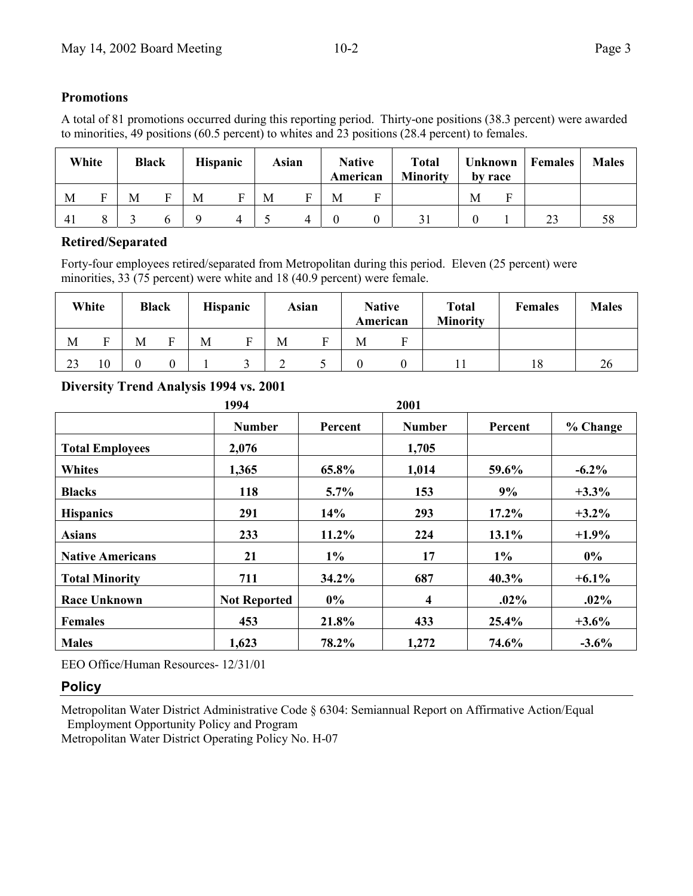### **Promotions**

A total of 81 promotions occurred during this reporting period. Thirty-one positions (38.3 percent) were awarded to minorities, 49 positions (60.5 percent) to whites and 23 positions (28.4 percent) to females.

| White |   | <b>Black</b> | <b>Hispanic</b> | <b>Asian</b> |   | American | <b>Native</b> | <b>Total</b><br><b>Minority</b> |   | Unknown<br>by race | Females | <b>Males</b> |
|-------|---|--------------|-----------------|--------------|---|----------|---------------|---------------------------------|---|--------------------|---------|--------------|
| М     | Е | М            | M               | M            | М |          |               |                                 | M | F                  |         |              |
| 41    |   |              |                 |              | 4 |          |               |                                 |   |                    | 23      | 58           |

#### **Retired/Separated**

Forty-four employees retired/separated from Metropolitan during this period. Eleven (25 percent) were minorities, 33 (75 percent) were white and 18 (40.9 percent) were female.

|    | White | <b>Black</b> |   |   | <b>Hispanic</b> |   | Asian | <b>Native</b> |  | <b>Total</b><br><b>Minority</b> | <b>Females</b> | <b>Males</b> |
|----|-------|--------------|---|---|-----------------|---|-------|---------------|--|---------------------------------|----------------|--------------|
| М  | ᠇     | M            | ᠇ | M |                 | М | ᠇     | American<br>M |  |                                 |                |              |
| 23 | 10    |              |   |   |                 |   |       |               |  |                                 | 18             | 26           |

### **Diversity Trend Analysis 1994 vs. 2001**

|                         | 1994                |          | 2001          |          |          |
|-------------------------|---------------------|----------|---------------|----------|----------|
|                         | <b>Number</b>       | Percent  | <b>Number</b> | Percent  | % Change |
| <b>Total Employees</b>  | 2,076               |          | 1,705         |          |          |
| <b>Whites</b>           | 1,365               | 65.8%    | 1,014         | 59.6%    | $-6.2\%$ |
| <b>Blacks</b>           | 118                 | $5.7\%$  | 153           | 9%       | $+3.3%$  |
| <b>Hispanics</b>        | 291                 | 14%      | 293           | $17.2\%$ | $+3.2\%$ |
| <b>Asians</b>           | 233                 | $11.2\%$ | 224           | 13.1%    | $+1.9%$  |
| <b>Native Americans</b> | 21                  | $1\%$    | 17            | $1\%$    | $0\%$    |
| <b>Total Minority</b>   | 711                 | $34.2\%$ | 687           | 40.3%    | $+6.1\%$ |
| <b>Race Unknown</b>     | <b>Not Reported</b> | $0\%$    | 4             | $.02\%$  | $.02\%$  |
| <b>Females</b>          | 453                 | 21.8%    | 433           | 25.4%    | $+3.6\%$ |
| <b>Males</b>            | 1,623               | 78.2%    | 1,272         | 74.6%    | $-3.6%$  |

EEO Office/Human Resources- 12/31/01

## **Policy**

Metropolitan Water District Administrative Code § 6304: Semiannual Report on Affirmative Action/Equal Employment Opportunity Policy and Program

Metropolitan Water District Operating Policy No. H-07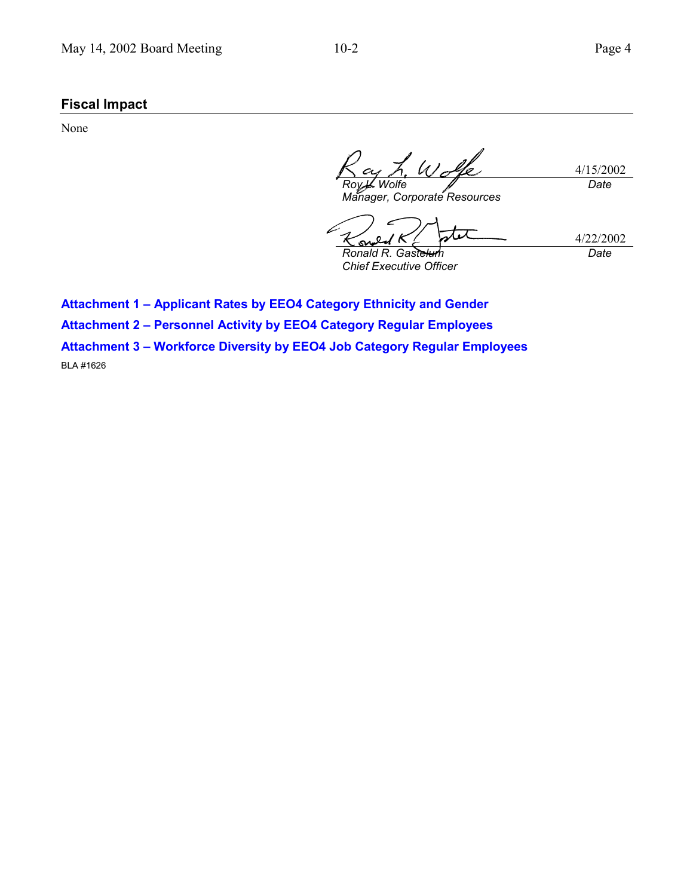# **Fiscal Impact**

None

4/15/2002 *Roy L. Wolfe Manager, Corporate Resources Date*

ス・ス 4/22/2002 *Ronald R. Gastelum Date*

*Chief Executive Officer*

**Attachment 1 – Applicant Rates by EEO4 Category Ethnicity and Gender**

**Attachment 2 – Personnel Activity by EEO4 Category Regular Employees**

**Attachment 3 – Workforce Diversity by EEO4 Job Category Regular Employees**

BLA #1626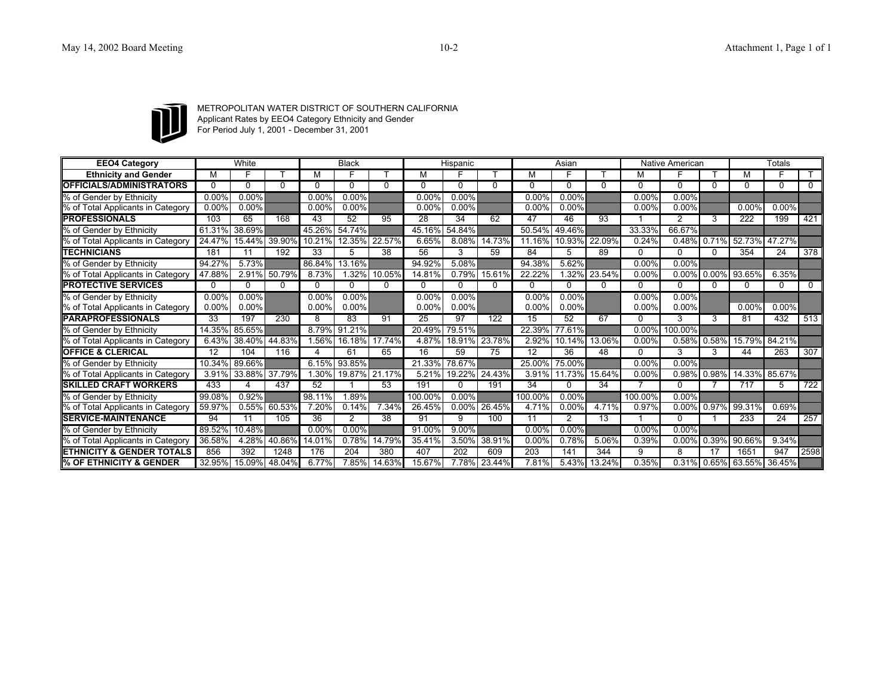

METROPOLITAN WATER DISTRICT OF SOUTHERN CALIFORNIA Applicant Rates by EEO4 Category Ethnicity and Gender For Period July 1, 2001 - December 31, 2001

| <b>EEO4 Category</b>                  |          | White         |              |           | <b>Black</b>  |              |          | Hispanic |               |                 | Asian        |              |              | Native American |              |                       | <b>Totals</b>   |                  |
|---------------------------------------|----------|---------------|--------------|-----------|---------------|--------------|----------|----------|---------------|-----------------|--------------|--------------|--------------|-----------------|--------------|-----------------------|-----------------|------------------|
| <b>Ethnicity and Gender</b>           |          |               |              | м         |               |              | м        |          |               | М               |              |              |              |                 |              | м                     |                 |                  |
| <b>OFFICIALS/ADMINISTRATORS</b>       | 0        | $\Omega$      |              | 0         | $\Omega$      | <sup>0</sup> | 0        | 0        | 0             | 0               | $\Omega$     | 0            | <sup>n</sup> | $\Omega$        | 0            | 0                     | 0               | $\Omega$         |
| % of Gender by Ethnicity              | 0.00%    | 0.00%         |              | 0.00%     | 0.00%         |              | 0.00%    | 0.00%    |               | 0.00%           | 0.00%        |              | 0.00%        | 0.00%           |              |                       |                 |                  |
| % of Total Applicants in Category     | 0.00%    | $0.00\%$      |              | $0.00\%$  | $0.00\%$      |              | 0.00%    | $0.00\%$ |               | 0.00%           | $0.00\%$     |              | 0.00%        | 0.00%           |              | 0.00%                 | 0.00%           |                  |
| <b>PROFESSIONALS</b>                  | 103      | 65            | 168          | 43        | 52            | 95           | 28       | 34       | 62            | 47              | 46           | 93           |              | 2               | 3            | 222                   | 199             | 421              |
| % of Gender by Ethnicity              | 61.31%   | 38.69%        |              |           | 45.26% 54.74% |              | 45.16%   | 54.84%   |               | 50.54%          | 49.46%       |              | 33.33%       | 66.67%          |              |                       |                 |                  |
| % of Total Applicants in Category     | 24.47%   | 15.44%        | 39.90%       |           | 10.21% 12.35% | 22.57%       | 6.65%    | 8.08%    | 14.73%        | 11.16%          | 10.93%       | 22.09%       | 0.24%        |                 |              | 0.48% 0.71% 52.73%    | 47.27%          |                  |
| <b>TECHNICIANS</b>                    | 181      | 11            | 192          | 33        | 5             | 38           | 56       | 3        | 59            | 84              | 5            | 89           | 0            | <sup>n</sup>    | $\Omega$     | 354                   | 24              | 378              |
| % of Gender by Ethnicity              | 94.27%   | 5.73%         |              | 86.84%    | 13.16%        |              | 94.92%   | 5.08%    |               | 94.38%          | 5.62%        |              | 0.00%        | 0.00%           |              |                       |                 |                  |
| % of Total Applicants in Category     | 47.88%   |               | 2.91% 50.79% | $8.73\%$  | .32%          | 10.05%       | 14.81%   | 0.79%    | 15.61%        | 22.22%          |              | 1.32% 23.54% | 0.00%        |                 |              | 0.00% 0.00% 93.65%    | 6.35%           |                  |
| <b>PROTECTIVE SERVICES</b>            | 0        | $\Omega$      |              | $\Omega$  | 0             | 0            | 0        | $\Omega$ | 0             | $\Omega$        | $\Omega$     | 0            | 0            | <sup>0</sup>    | <sup>n</sup> | 0                     | $\Omega$        | $\Omega$         |
| % of Gender by Ethnicity              | $0.00\%$ | $0.00\%$      |              | $0.00\%$  | $0.00\%$      |              | $0.00\%$ | $0.00\%$ |               | 0.00%           | $0.00\%$     |              | 0.00%        | $0.00\%$        |              |                       |                 |                  |
| % of Total Applicants in Category     | 0.00%    | $0.00\%$      |              | $0.00\%$  | $0.00\%$      |              | 0.00%    | $0.00\%$ |               | 0.00%           | $0.00\%$     |              | 0.00%        | $0.00\%$        |              | 0.00%                 | 0.00%           |                  |
| <b>PARAPROFESSIONALS</b>              | 33       | 197           | 230          | 8         | 83            | 91           | 25       | 97       | 122           | 15              | 52           | 67           | 0            | 3               | 3            | 81                    | 432             | 513              |
| % of Gender by Ethnicity              | 14.35%   | $85.65\%$     |              | 8.79%     | 91.21%        |              | 20.49%   | 79.51%   |               | 22.39%          | 77.61%       |              | 0.00%        | 100.00%         |              |                       |                 |                  |
| % of Total Applicants in Category     | 6.43%    | 38.40%        | 44.83%       | .56%      | 16.18%        | 17.74%       | 4.87%    | 18.91%   | 23.78%        | 2.92%           | 10.14%       | 13.06%       | 0.00%        | 0.58%           | 0.58%        | 15.79%                | 84.21%          |                  |
| <b>OFFICE &amp; CLERICAL</b>          | 12       | 104           | 116          | Δ         | 61            | 65           | 16       | 59       | 75            | $\overline{12}$ | 36           | 48           | 0            | 3               | 3            | 44                    | 263             | 307              |
| % of Gender by Ethnicity              | 10.34%   | 89.66%        |              |           | 6.15% 93.85%  |              | 21.33%   | 78.67%   |               | 25.00%          | 75.00%       |              | 0.00%        | 0.00%           |              |                       |                 |                  |
| % of Total Applicants in Category     | 3.91%    | 33.88% 37.79% |              | .30%      | 19.87% 21.17% |              | 5.21%    |          | 19.22% 24.43% | 3.91%           | 11.73%       | 15.64%       | 0.00%        |                 |              | 0.98% 0.98% 14.33%    | 85.67%          |                  |
| <b>SKILLED CRAFT WORKERS</b>          | 433      |               | 437          | 52        |               | 53           | 191      | $\Omega$ | 191           | 34              | <sup>0</sup> | 34           |              | <sup>0</sup>    |              | 717                   | 5               | $\overline{722}$ |
| % of Gender by Ethnicity              | 99.08%   | 0.92%         |              | $98.11\%$ | 1.89%         |              | 100.00%  | $0.00\%$ |               | 100.00%         | $0.00\%$     |              | 100.00%      | 0.00%           |              |                       |                 |                  |
| % of Total Applicants in Category     | 59.97%   | 0.55%         | 60.53%       | 7.20%     | 0.14%         | 7.34%        | 26.45%   | $0.00\%$ | 26.45%        | 4.71%           | 0.00%        | 4.71%        | 0.97%        |                 | 0.00% 0.97%  | 99.31%                | 0.69%           |                  |
| <b>SERVICE-MAINTENANCE</b>            | 94       | 11            | 105          | 36        | 2             | 38           | 91       | 9        | 100           | 11              | 2            | 13           |              | <sup>n</sup>    |              | 233                   | $\overline{24}$ | 257              |
| % of Gender by Ethnicity              | 89.52%   | 10.48%        |              | $0.00\%$  | 0.00%         |              | 91.00%   | 9.00%    |               | 0.00%           | 0.00%        |              | 0.00%        | 0.00%           |              |                       |                 |                  |
| % of Total Applicants in Category     | 36.58%   | 4.28%         | 40.86%       | 14.01%    | 0.78%         | 14.79%       | 35.41%   | 3.50%    | 38.91%        | 0.00%           | 0.78%        | 5.06%        | 0.39%        | $0.00\%$        | 0.39%        | 90.66%                | 9.34%           |                  |
| <b>IETHNICITY &amp; GENDER TOTALS</b> | 856      | 392           | 1248         | 176       | 204           | 380          | 407      | 202      | 609           | 203             | 141          | 344          | 9            | 8               | 17           | 1651                  | 947             | 2598             |
| II% OF ETHNICITY & GENDER             | 32.95%   | 15.09%        | 48.04%       | 6.77%     | 7.85%         | 14.63%       | 15.67%   | 7.78%    | 23.44%        | 7.81%           | 5.43%        | 13.24%       | 0.35%        |                 |              | $0.31\%$ 0.65% 63.55% | 36.45%          |                  |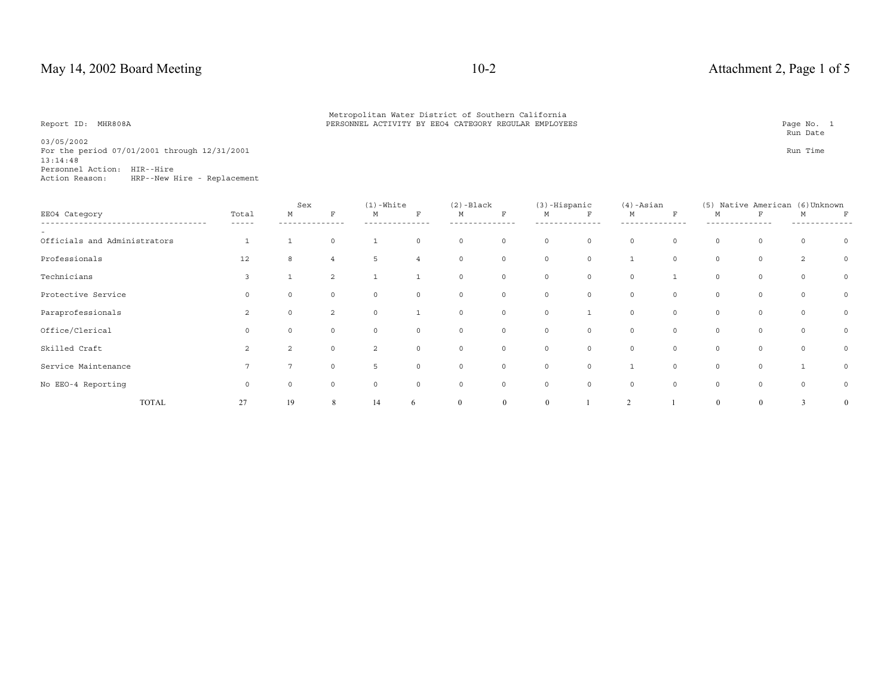Metropolitan Water District of Southern California<br>PERSONNEL ACTIVITY BY EEO4 CATEGORY REGULAR EMPLOYEES PARA PARA PAGE PAGE PAGE No. 1

**Run Date** 

03/05/2002 For the period 07/01/2001 through 12/31/2001 **Run** Time 13:14:48 Personnel Action: HIR--Hire

Action Reason: HRP--New Hire - Replacement

|                              |              |                | Sex            |                | $(1)$ -White   |          | $(2)$ -Black   |          | (3)-Hispanic   |              | $(4)$ -Asian   |         | (5)            | Native American | (6) Unknown    |                |
|------------------------------|--------------|----------------|----------------|----------------|----------------|----------|----------------|----------|----------------|--------------|----------------|---------|----------------|-----------------|----------------|----------------|
| EE04 Category                |              | Total<br>----- | М              | $\mathbf{F}$   | М              | F        | М              | F        | М              | $\mathbf F$  | М              | $\rm F$ | M              | F               | M              | $\mathbf F$    |
| Officials and Administrators |              |                |                | $\circ$        |                | $\circ$  | $\mathbf 0$    | $\circ$  | $\circ$        | $\circ$      | $\circ$        | $\circ$ | $\circ$        | $\circ$         | $\circ$        | $\Omega$       |
| Professionals                |              | 12             | 8              | 4              | 5              | 4        | $\Omega$       | $\circ$  | $\circ$        | $\circ$      | $\mathbf{1}$   | $\circ$ | $\circ$        | $\circ$         | $\overline{2}$ | $\circ$        |
| Technicians                  |              | 3              |                | 2              |                |          | $\Omega$       | $\circ$  | $\circ$        | $\circ$      | $\circ$        |         | $\circ$        | $\circ$         | $\circ$        | $\circ$        |
| Protective Service           |              | $\circ$        | $\circ$        | $\circ$        | $\circ$        | $\circ$  | $\mathbf 0$    | 0        | $\circ$        | $\circ$      | $\circ$        | $\circ$ | $\circ$        | $\circ$         | $\circ$        | $\circ$        |
| Paraprofessionals            |              | 2              | $\mathbf 0$    | $\overline{2}$ | $\circ$        |          | $\circ$        | $\circ$  | $\circ$        | $\mathbf{1}$ | $\circ$        | $\circ$ | $\circ$        | $\circ$         | $\circ$        | $\circ$        |
| Office/Clerical              |              | $\circ$        | $\circ$        | $\Omega$       | $\Omega$       | $\Omega$ | $\Omega$       | $\circ$  | $\circ$        | $\circ$      | $\circ$        | $\circ$ | $\circ$        | $\circ$         | $\circ$        | $\circ$        |
| Skilled Craft                |              | $\mathfrak{D}$ | $\mathfrak{D}$ | $\Omega$       | $\overline{2}$ | $\Omega$ | $\Omega$       | $\Omega$ | $\Omega$       | $\Omega$     | $\circ$        | $\circ$ | $\circ$        | $\Omega$        | $\circ$        | $\circ$        |
| Service Maintenance          |              |                |                | $\Omega$       | 5              | $\Omega$ | $\Omega$       | $\circ$  | $\circ$        | $\circ$      |                | $\circ$ | $\circ$        | $\circ$         |                | $\circ$        |
| No EEO-4 Reporting           |              | $\circ$        | $\circ$        | $\circ$        | $\Omega$       | $\circ$  | $\circ$        | $\circ$  | $\circ$        | $\circ$      | $\circ$        | $\circ$ | $\circ$        | $\circ$         | $\circ$        | $\circ$        |
|                              | <b>TOTAL</b> | 27             | 19             | 8              | 14             | 6        | $\overline{0}$ | $\theta$ | $\overline{0}$ |              | $\overline{2}$ |         | $\overline{0}$ | $\theta$        | 3              | $\overline{0}$ |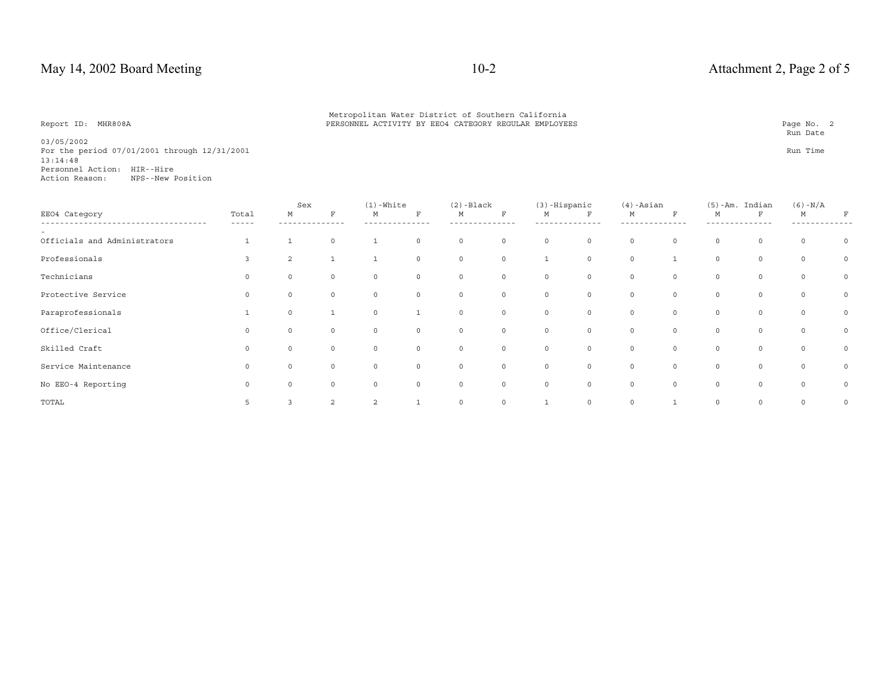**Run Date** 

03/05/2002 For the period 07/01/2001 through 12/31/2001 **Run** Time 13:14:48 Personnel Action: HIR--HireAction Reason: NPS--New Position

|                              |                | Sex      |                | $(1)$ -White |          | $(2)$ -Black |         | $(3)$ -Hispanic |              | $(4)$ -Asian |             |             | $(5)$ -Am. Indian | $(6) - N/A$ |          |
|------------------------------|----------------|----------|----------------|--------------|----------|--------------|---------|-----------------|--------------|--------------|-------------|-------------|-------------------|-------------|----------|
| EE04 Category                | Total<br>----- | M        | F              | M            | F        | M            | F       | М               | $\mathbf F$  | М            | $\mathbf F$ | М           | F                 | M           | F        |
| Officials and Administrators |                |          | $\Omega$       |              | $\Omega$ | $\circ$      | $\circ$ | $\circ$         | $\circ$      | $\circ$      | $\circ$     | $\circ$     | $\circ$           | $\circ$     | $\Omega$ |
| Professionals                |                | 2        |                |              | $\Omega$ | $\circ$      | $\circ$ |                 | $\circ$      | $\circ$      |             | $\circ$     | $\circ$           | $\circ$     | 0        |
| Technicians                  |                | $\Omega$ |                | $\Omega$     | $\Omega$ | $\circ$      | $\circ$ | $\mathbf 0$     | $\mathsf{O}$ | $\circ$      | $\circ$     | $\mathbf 0$ | 0                 | $\Omega$    | $\circ$  |
| Protective Service           |                | $\Omega$ |                | $\Omega$     | $\Omega$ | $\circ$      | $\circ$ | 0               | $\circ$      | $\circ$      | $\circ$     | 0           | $\circ$           | $\circ$     | $\circ$  |
| Paraprofessionals            |                | $\circ$  |                | $\circ$      |          | $\circ$      | $\circ$ | $\mathbf 0$     | $\circ$      | $\circ$      | $\circ$     | $\circ$     | $\circ$           | $\circ$     | 0        |
| Office/Clerical              |                | $\Omega$ |                | $\Omega$     |          | $\circ$      | $\circ$ | $\mathbf 0$     | $\mathsf{O}$ | $\circ$      | $\circ$     | $\mathbf 0$ | $\circ$           | $\circ$     | 0        |
| Skilled Craft                |                | $\Omega$ |                | $\Omega$     | $\Omega$ | $\circ$      | $\circ$ | $\mathbf 0$     | $\circ$      | $\circ$      | $\circ$     | $\mathbf 0$ | $\circ$           | $\circ$     | $\circ$  |
| Service Maintenance          | $\Omega$       | $\Omega$ | $\Omega$       | $\Omega$     | $\circ$  | $\circ$      | $\circ$ | $\mathsf{O}$    | $\circ$      | $\circ$      | $\circ$     | $\circ$     | $\circ$           | $\circ$     | 0        |
| No EEO-4 Reporting           | $\circ$        | $\Omega$ | 0              | 0            | $\Omega$ | $\circ$      | $\circ$ | $\mathbf 0$     | $\circ$      | $\circ$      | $\circ$     | $\circ$     | $\circ$           | $\circ$     | $\circ$  |
| TOTAL                        | 5              |          | $\mathfrak{D}$ | 2            |          | $\Omega$     | $\circ$ |                 | $\circ$      | 0            |             | $\circ$     | 0                 | $\circ$     | $\circ$  |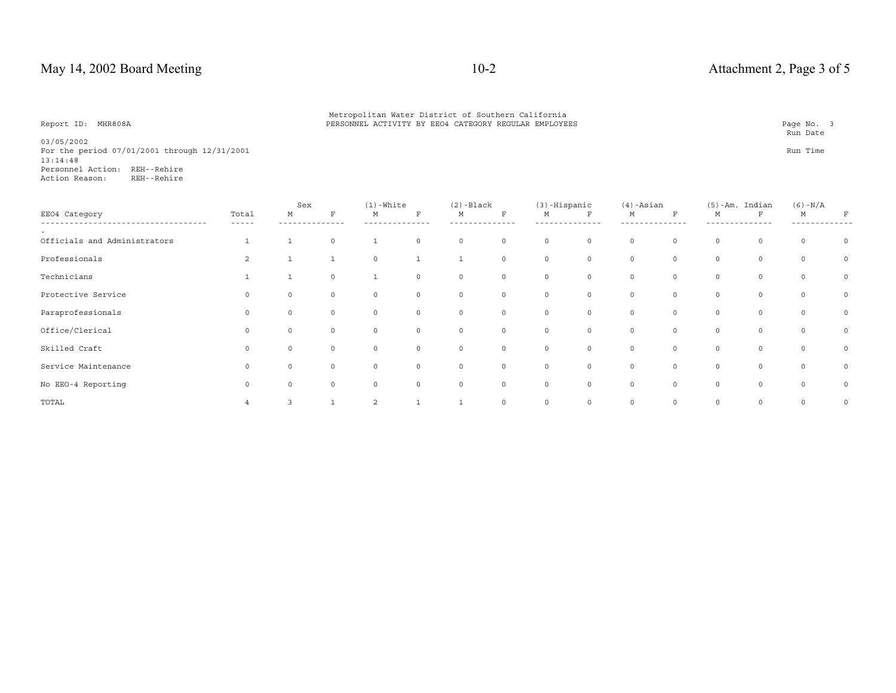**Run Date** 

03/05/2002 For the period 07/01/2001 through 12/31/2001 **Run** Time 13:14:48 Personnel Action: REH--Rehire1 Action Reason:

|                              |                    | Sex      |              | $(1)$ -White |             | $(2)$ -Black |             | $(3)$ -Hispanic |              | $(4)$ -Asian |              |             | $(5)$ -Am. Indian | $(6) - N/A$ |         |
|------------------------------|--------------------|----------|--------------|--------------|-------------|--------------|-------------|-----------------|--------------|--------------|--------------|-------------|-------------------|-------------|---------|
| EE04 Category                | Total<br>- - - - - | M        | F            | М            | $\mathbf F$ | M            | $\mathbf F$ | М               | $\mathbf{F}$ | М            | F            | M           | F                 | M           | F       |
| Officials and Administrators |                    |          | $\circ$      |              | $\Omega$    | 0            | $\circ$     | $\circ$         | 0            | 0            | $\circ$      | $\circ$     | 0                 | $\circ$     | $\circ$ |
| Professionals                | $\overline{2}$     |          |              | 0            |             |              | $\circ$     | $\circ$         | $\mathsf{O}$ | $\circ$      | $\circ$      | $\circ$     | 0                 | $\circ$     | $\circ$ |
| Technicians                  |                    |          | $\Omega$     |              | $\Omega$    | $\Omega$     | $\circ$     | $\circ$         | $\circ$      | 0            | $\mathbf 0$  | $\circ$     | $\circ$           | $\circ$     | $\circ$ |
| Protective Service           |                    | 0        | 0            | 0            | $\circ$     | $\circ$      | $\circ$     | $\circ$         | $\mathsf{O}$ | $\circ$      | $\mathsf{O}$ | $\circ$     | 0                 | $\circ$     | $\circ$ |
| Paraprofessionals            | $\Omega$           | $\circ$  | $\mathbf{0}$ | $\circ$      | $\circ$     | $\circ$      | $\circ$     | $\circ$         | $\circ$      | $\circ$      | $\circ$      | $\circ$     | $\circ$           | $\circ$     | $\circ$ |
| Office/Clerical              |                    | $\Omega$ | $\Omega$     | $\Omega$     | $\Omega$    | $\mathbf 0$  | $\circ$     | $\circ$         | $\mathsf{O}$ | $\circ$      | $\circ$      | $\circ$     | $\circ$           | $\circ$     | $\circ$ |
| Skilled Craft                |                    | $\Omega$ | $\Omega$     | $\Omega$     | $\Omega$    | $\circ$      | $\circ$     | $\circ$         | $\circ$      | $\circ$      | $\mathbf 0$  | $\circ$     | 0                 | $\circ$     | $\circ$ |
| Service Maintenance          |                    | $\Omega$ | 0            | $\Omega$     | $\circ$     | $\circ$      | $\circ$     | $\circ$         | 0            | 0            | $\circ$      | $\circ$     | 0                 | $\circ$     | $\circ$ |
| No EEO-4 Reporting           | $\circ$            | $\circ$  | $\circ$      | $\circ$      | $\circ$     | 0            | $\circ$     | $\circ$         | $\circ$      | $\circ$      | $\circ$      | $\circ$     | 0                 | $\circ$     | $\circ$ |
| TOTAL                        |                    |          |              | 2            |             |              | $\circ$     | $\circ$         | $\circ$      | $\circ$      | $\circ$      | $\mathbf 0$ | $\circ$           | $\circ$     | $\circ$ |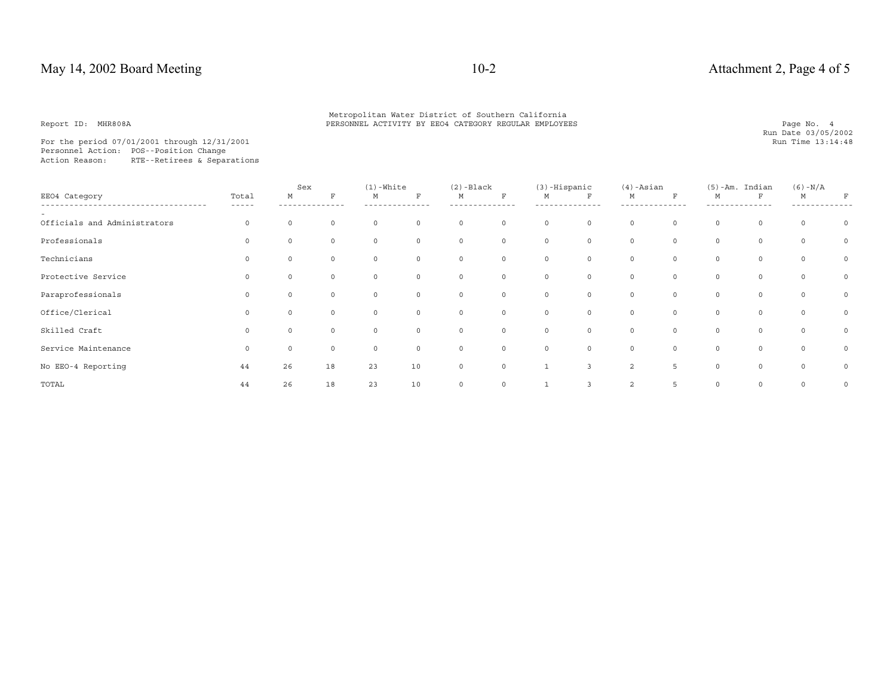Metropolitan Water District of Southern California<br>PERSONNEL ACTIVITY BY EEO4 CATEGORY REGULAR EMPLOYEES PARA PARA PAGE PAGE PAGE No. 4

For the period 07/01/2001 through 12/31/2001 Personnel Action: POS--Position Change Action Reason: RTE--Retirees & Separations

|                              |                | Sex         |          | $(1)$ -White |          | $(2)$ -Black |             | $(3)$ -Hispanic |              | $(4)$ -Asian   |             |             | $(5)$ -Am. Indian | $(6) - N/A$ |         |
|------------------------------|----------------|-------------|----------|--------------|----------|--------------|-------------|-----------------|--------------|----------------|-------------|-------------|-------------------|-------------|---------|
| EE04 Category                | Total<br>----- | М           | F        | М            | F        | М            | F           | М               | F            | М              | $\mathbf F$ | М           | $\mathbf F$       | M           | F       |
| Officials and Administrators | $\mathbf 0$    | $\circ$     | 0        | $\circ$      | $\circ$  | $\circ$      | $\circ$     | $\circ$         | $\circ$      | $\circ$        | $\circ$     | $\circ$     | $\circ$           | $\circ$     | $\circ$ |
| Professionals                | 0              |             | 0        | $\Omega$     | $\circ$  | $\circ$      | $\circ$     | $\circ$         | $\circ$      | 0              | $\mathbb O$ | 0           | 0                 | $\circ$     | $\circ$ |
| Technicians                  |                |             | 0        |              | $\Omega$ | $\circ$      | $\circ$     | $\Omega$        | $\mathsf{O}$ | $\circ$        | $\mathbb O$ | $\Omega$    | $\circ$           | 0           | $\circ$ |
| Protective Service           |                | 0           | 0        |              | $\circ$  | 0            | $\mathsf 0$ | 0               | $\circ$      | $\circ$        | $\mathbb O$ | $\mathbf 0$ | 0                 | $\circ$     | $\circ$ |
| Paraprofessionals            | $\Omega$       | 0           | 0        | $\Omega$     | $\circ$  | $\circ$      | $\circ$     | $\circ$         | $\circ$      | $\circ$        | $\circ$     | $\circ$     | 0                 | $\circ$     | $\circ$ |
| Office/Clerical              | $\Omega$       | $\Omega$    | $\Omega$ | $\Omega$     | $\circ$  | $\mathbf 0$  | $\circ$     | $\circ$         | $\mathsf{O}$ | $\circ$        | $\mathbb O$ | 0           | 0                 | $\circ$     | $\circ$ |
| Skilled Craft                | $\Omega$       |             | 0        |              | $\circ$  | $\circ$      | $\circ$     | $\circ$         | $\mathsf{O}$ | $\circ$        | $\mathbb O$ | $\mathbf 0$ | 0                 | 0           | $\circ$ |
| Service Maintenance          | $\mathbf 0$    | $\mathbf 0$ | 0        | $\circ$      | $\circ$  | $\circ$      | $\circ$     | $\circ$         | $\circ$      | $\circ$        | $\circ$     | $\circ$     | 0                 | $\circ$     | $\circ$ |
| No EEO-4 Reporting           | 44             | 26          | 18       | 23           | $10$     | $\circ$      | $\circ$     |                 | 3            | $\overline{2}$ | 5           | $\mathbf 0$ | $\circ$           | $\circ$     | $\circ$ |
| TOTAL                        | 44             | 26          | 18       | 23           | $10$     | $\mathbf 0$  | $\circ$     |                 | 3            | $\overline{2}$ | 5           | $\mathbf 0$ | 0                 | 0           | $\circ$ |

Run Date 03/05/2002<br>Run Time 13:14:48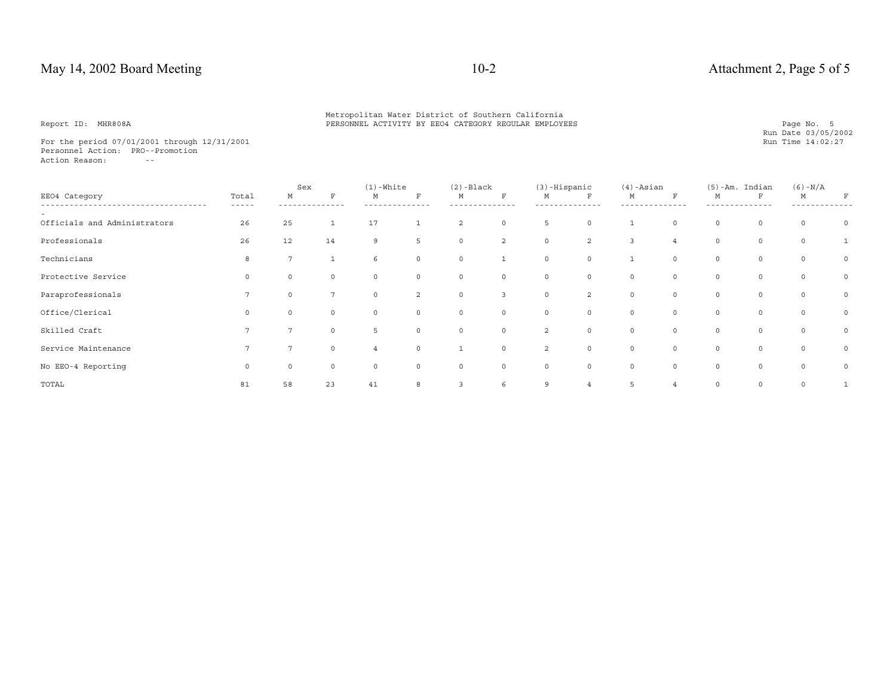For the period 07/01/2001 through 12/31/2001 Personnel Action: PRO--Promotion Action Reason: --

|                              |                | Sex            |                | $(1)$ -White |                | $(2)$ -Black   |                | $(3)$ -Hispanic |                | $(4)$ -Asian   |                |             | $(5)$ -Am. Indian | $(6) - N/A$  |          |
|------------------------------|----------------|----------------|----------------|--------------|----------------|----------------|----------------|-----------------|----------------|----------------|----------------|-------------|-------------------|--------------|----------|
| EE04 Category                | Total<br>----- | M              | F              | M            | F              | M              | F              | М               | $\mathbf F$    | М              | $\mathbf F$    | М           | $\mathbf{F}$      | M            | F        |
| Officials and Administrators | 26             | 25             |                | 17           |                | 2              | $\circ$        | 5               | $\circ$        | $\mathbf{1}$   | $\circ$        | $\circ$     | 0                 | 0            | $\Omega$ |
| Professionals                | 26             | 12             | 14             | 9            | 5              | $\circ$        | 2              | $\circ$         | 2              | $\overline{3}$ | $\overline{4}$ | $\circ$     | $\circ$           | $\circ$      |          |
| Technicians                  | $\mathsf{R}$   | $\mathbf{r}$   |                | 6            | $\Omega$       | $\circ$        |                | $\Omega$        | $\mathsf{O}$   |                | $\circ$        | $\mathbf 0$ | 0                 | $\Omega$     | $\circ$  |
| Protective Service           | $\Omega$       | $\circ$        | 0              | $\circ$      | $\circ$        | $\circ$        | $\mathsf 0$    | $\circ$         | $\circ$        | $\circ$        | $\circ$        | $\circ$     | $\circ$           | 0            | $\circ$  |
| Paraprofessionals            |                | $\Omega$       | $\overline{7}$ | $\circ$      | $\overline{2}$ | $\circ$        | $\overline{3}$ | $\circ$         | $\overline{2}$ | $\circ$        | $\circ$        | $\circ$     | $\circ$           | $\circ$      | 0        |
| Office/Clerical              |                | $\Omega$       |                | 0            | $\Omega$       | $\circ$        | $\circ$        | $\circ$         | $\circ$        | $\circ$        | $\mathbf 0$    | $\circ$     | $\circ$           | $\circ$      | 0        |
| Skilled Craft                |                | $\overline{7}$ | 0              | 5.           | $\Omega$       | $\circ$        | $\mathsf 0$    | 2               | $\circ$        | 0              | $\circ$        | $\circ$     | 0                 | $\circ$      | $\circ$  |
| Service Maintenance          |                | 7              | 0              |              | $\circ$        |                | $\circ$        | 2               | $\circ$        | $\circ$        | $\circ$        | 0           | $\circ$           | 0            | $\circ$  |
| No EEO-4 Reporting           | $\Omega$       | $\Omega$       | 0              | $\Omega$     | $\Omega$       | $\circ$        | $\circ$        | $\Omega$        | $\circ$        | $\circ$        | $\circ$        | $\circ$     | $\circ$           | $\circ$      | $\circ$  |
| TOTAL                        | 81             | 58             | 23             | 41           | 8              | $\overline{3}$ | 6              | 9               | $\overline{4}$ | 5              | 4              | 0           | $\circ$           | $\mathsf{O}$ |          |

Run Date 03/05/2002<br>Run Time 14:02:27